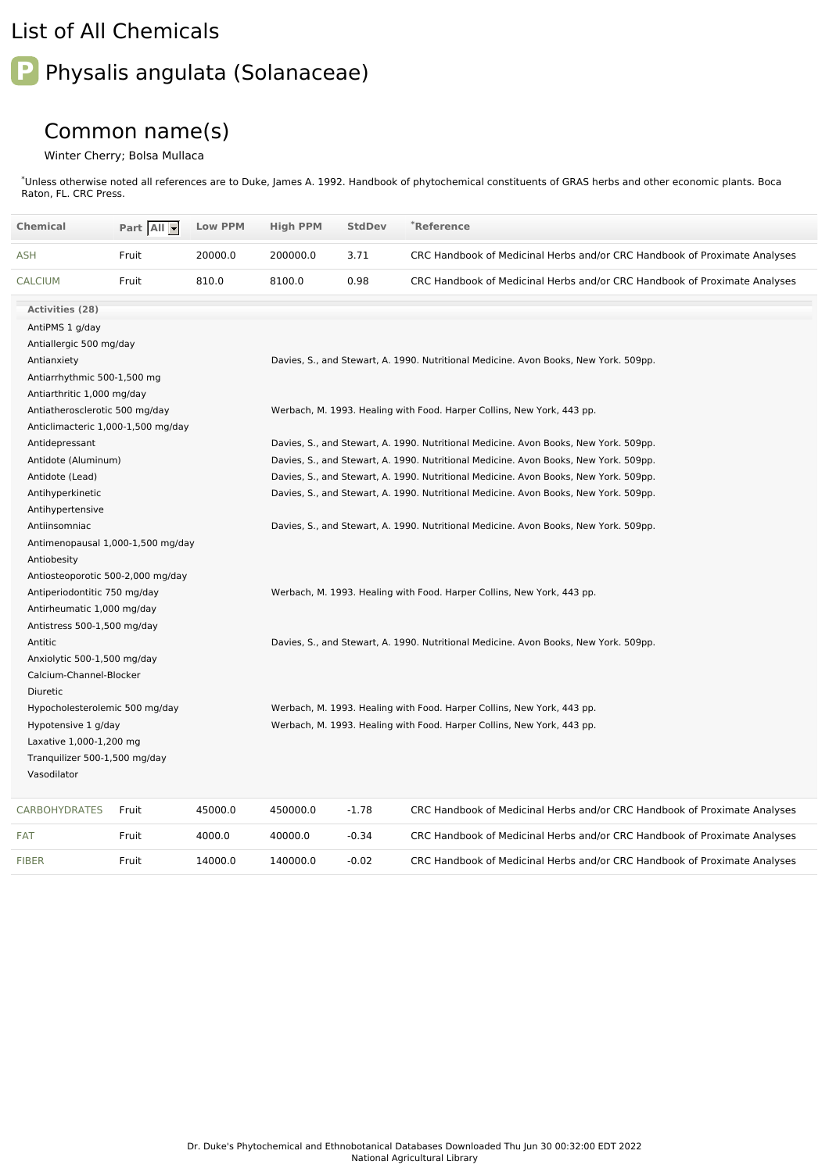## List of All Chemicals

## Physalis angulata (Solanaceae)

## Common name(s)

## Winter Cherry; Bolsa Mullaca

\*Unless otherwise noted all references are to Duke, James A. 1992. Handbook of phytochemical constituents of GRAS herbs and other economic plants. Boca Raton, FL. CRC Press.

| <b>Chemical</b>                                                                 | Part All - | <b>Low PPM</b> | <b>High PPM</b>                                                                      | <b>StdDev</b> | *Reference                                                                           |  |  |  |
|---------------------------------------------------------------------------------|------------|----------------|--------------------------------------------------------------------------------------|---------------|--------------------------------------------------------------------------------------|--|--|--|
| ASH                                                                             | Fruit      | 20000.0        | 200000.0                                                                             | 3.71          | CRC Handbook of Medicinal Herbs and/or CRC Handbook of Proximate Analyses            |  |  |  |
| <b>CALCIUM</b>                                                                  | Fruit      | 810.0          | 8100.0                                                                               | 0.98          | CRC Handbook of Medicinal Herbs and/or CRC Handbook of Proximate Analyses            |  |  |  |
| <b>Activities (28)</b>                                                          |            |                |                                                                                      |               |                                                                                      |  |  |  |
| AntiPMS 1 g/day                                                                 |            |                |                                                                                      |               |                                                                                      |  |  |  |
| Antiallergic 500 mg/day                                                         |            |                |                                                                                      |               |                                                                                      |  |  |  |
| Antianxiety                                                                     |            |                | Davies, S., and Stewart, A. 1990. Nutritional Medicine. Avon Books, New York. 509pp. |               |                                                                                      |  |  |  |
| Antiarrhythmic 500-1,500 mg                                                     |            |                |                                                                                      |               |                                                                                      |  |  |  |
| Antiarthritic 1,000 mg/day                                                      |            |                |                                                                                      |               |                                                                                      |  |  |  |
| Antiatherosclerotic 500 mg/day                                                  |            |                |                                                                                      |               | Werbach, M. 1993. Healing with Food. Harper Collins, New York, 443 pp.               |  |  |  |
| Anticlimacteric 1,000-1,500 mg/day                                              |            |                |                                                                                      |               |                                                                                      |  |  |  |
| Antidepressant                                                                  |            |                | Davies, S., and Stewart, A. 1990. Nutritional Medicine. Avon Books, New York. 509pp. |               |                                                                                      |  |  |  |
| Antidote (Aluminum)                                                             |            |                |                                                                                      |               | Davies, S., and Stewart, A. 1990. Nutritional Medicine. Avon Books, New York. 509pp. |  |  |  |
| Antidote (Lead)                                                                 |            |                | Davies, S., and Stewart, A. 1990. Nutritional Medicine. Avon Books, New York. 509pp. |               |                                                                                      |  |  |  |
| Antihyperkinetic                                                                |            |                |                                                                                      |               | Davies, S., and Stewart, A. 1990. Nutritional Medicine. Avon Books, New York. 509pp. |  |  |  |
| Antihypertensive                                                                |            |                |                                                                                      |               |                                                                                      |  |  |  |
| Antiinsomniac                                                                   |            |                |                                                                                      |               | Davies, S., and Stewart, A. 1990. Nutritional Medicine. Avon Books, New York. 509pp. |  |  |  |
| Antimenopausal 1,000-1,500 mg/day                                               |            |                |                                                                                      |               |                                                                                      |  |  |  |
| Antiobesity                                                                     |            |                |                                                                                      |               |                                                                                      |  |  |  |
| Antiosteoporotic 500-2,000 mg/day                                               |            |                |                                                                                      |               |                                                                                      |  |  |  |
| Antiperiodontitic 750 mg/day                                                    |            |                | Werbach, M. 1993. Healing with Food. Harper Collins, New York, 443 pp.               |               |                                                                                      |  |  |  |
| Antirheumatic 1,000 mg/day                                                      |            |                |                                                                                      |               |                                                                                      |  |  |  |
| Antistress 500-1,500 mg/day                                                     |            |                |                                                                                      |               |                                                                                      |  |  |  |
| Antitic                                                                         |            |                | Davies, S., and Stewart, A. 1990. Nutritional Medicine. Avon Books, New York. 509pp. |               |                                                                                      |  |  |  |
| Anxiolytic 500-1,500 mg/day                                                     |            |                |                                                                                      |               |                                                                                      |  |  |  |
| Calcium-Channel-Blocker                                                         |            |                |                                                                                      |               |                                                                                      |  |  |  |
| Diuretic                                                                        |            |                |                                                                                      |               |                                                                                      |  |  |  |
| Hypocholesterolemic 500 mg/day                                                  |            |                | Werbach, M. 1993. Healing with Food. Harper Collins, New York, 443 pp.               |               |                                                                                      |  |  |  |
| Hypotensive 1 g/day<br>Laxative 1,000-1,200 mg<br>Tranquilizer 500-1,500 mg/day |            |                | Werbach, M. 1993. Healing with Food. Harper Collins, New York, 443 pp.               |               |                                                                                      |  |  |  |
|                                                                                 |            |                |                                                                                      |               |                                                                                      |  |  |  |
|                                                                                 |            |                |                                                                                      |               |                                                                                      |  |  |  |
| Vasodilator                                                                     |            |                |                                                                                      |               |                                                                                      |  |  |  |
| <b>CARBOHYDRATES</b>                                                            | Fruit      | 45000.0        | 450000.0                                                                             | $-1.78$       | CRC Handbook of Medicinal Herbs and/or CRC Handbook of Proximate Analyses            |  |  |  |
| FAT                                                                             | Fruit      | 4000.0         | 40000.0                                                                              | $-0.34$       | CRC Handbook of Medicinal Herbs and/or CRC Handbook of Proximate Analyses            |  |  |  |

[FIBER](file:///phytochem/chemicals/show/8460) Fruit 14000.0 140000.0 -0.02 CRC Handbook of Medicinal Herbs and/or CRC Handbook of Proximate Analyses